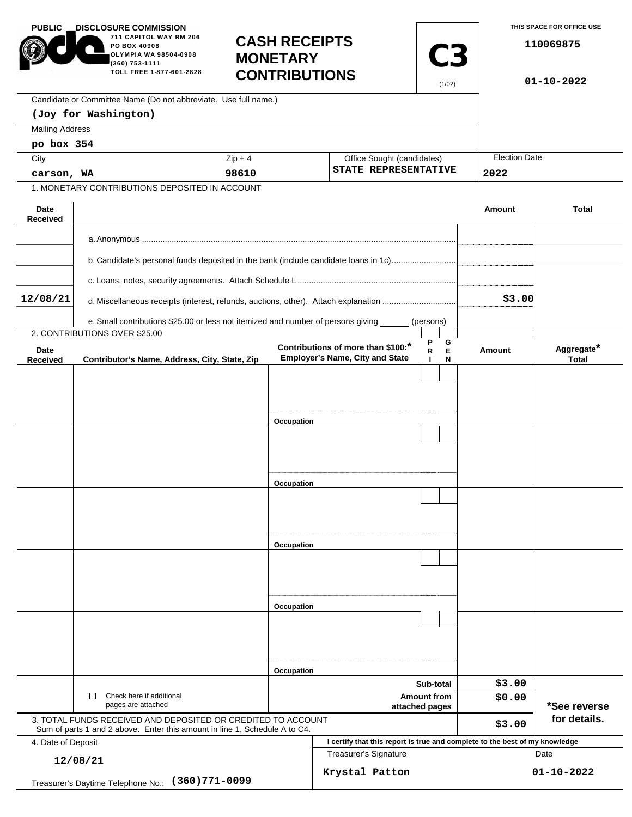| <b>PUBLIC</b>                                           | <b>DISCLOSURE COMMISSION</b><br>711 CAPITOL WAY RM 206<br>PO BOX 40908<br>OLYMPIA WA 98504-0908<br>(360) 753-1111<br>TOLL FREE 1-877-601-2828 | <b>CASH RECEIPTS</b><br><b>MONETARY</b><br><b>CONTRIBUTIONS</b> |                                                                              | <b>C3</b><br>(1/02)                                |        | THIS SPACE FOR OFFICE USE<br>110069875<br>$01 - 10 - 2022$ |  |
|---------------------------------------------------------|-----------------------------------------------------------------------------------------------------------------------------------------------|-----------------------------------------------------------------|------------------------------------------------------------------------------|----------------------------------------------------|--------|------------------------------------------------------------|--|
|                                                         | Candidate or Committee Name (Do not abbreviate. Use full name.)                                                                               |                                                                 |                                                                              |                                                    |        |                                                            |  |
|                                                         | (Joy for Washington)                                                                                                                          |                                                                 |                                                                              |                                                    |        |                                                            |  |
| <b>Mailing Address</b>                                  |                                                                                                                                               |                                                                 |                                                                              |                                                    |        |                                                            |  |
| po box 354                                              |                                                                                                                                               |                                                                 |                                                                              |                                                    |        |                                                            |  |
| City                                                    |                                                                                                                                               | $Zip + 4$                                                       |                                                                              | Office Sought (candidates)<br>STATE REPRESENTATIVE |        | <b>Election Date</b>                                       |  |
| carson, WA                                              |                                                                                                                                               | 98610                                                           |                                                                              |                                                    | 2022   |                                                            |  |
|                                                         | 1. MONETARY CONTRIBUTIONS DEPOSITED IN ACCOUNT                                                                                                |                                                                 |                                                                              |                                                    |        |                                                            |  |
| Date<br>Received                                        |                                                                                                                                               |                                                                 |                                                                              |                                                    | Amount | <b>Total</b>                                               |  |
|                                                         |                                                                                                                                               |                                                                 |                                                                              |                                                    |        |                                                            |  |
|                                                         | b. Candidate's personal funds deposited in the bank (include candidate loans in 1c)                                                           |                                                                 |                                                                              |                                                    |        |                                                            |  |
|                                                         |                                                                                                                                               |                                                                 |                                                                              |                                                    |        |                                                            |  |
| 12/08/21                                                | d. Miscellaneous receipts (interest, refunds, auctions, other). Attach explanation                                                            |                                                                 |                                                                              |                                                    | \$3.00 |                                                            |  |
|                                                         | e. Small contributions \$25.00 or less not itemized and number of persons giving                                                              |                                                                 |                                                                              | (persons)                                          |        |                                                            |  |
|                                                         | 2. CONTRIBUTIONS OVER \$25.00                                                                                                                 |                                                                 |                                                                              |                                                    |        |                                                            |  |
| Date<br><b>Received</b>                                 | Contributor's Name, Address, City, State, Zip                                                                                                 |                                                                 | Contributions of more than \$100:*<br><b>Employer's Name, City and State</b> | Ρ<br>G<br>Е<br>R<br>N                              | Amount | Aggregate*<br><b>Total</b>                                 |  |
|                                                         |                                                                                                                                               |                                                                 |                                                                              |                                                    |        |                                                            |  |
|                                                         |                                                                                                                                               |                                                                 |                                                                              |                                                    |        |                                                            |  |
|                                                         |                                                                                                                                               |                                                                 |                                                                              |                                                    |        |                                                            |  |
|                                                         |                                                                                                                                               | Occupation                                                      |                                                                              |                                                    |        |                                                            |  |
|                                                         |                                                                                                                                               |                                                                 |                                                                              |                                                    |        |                                                            |  |
|                                                         |                                                                                                                                               |                                                                 |                                                                              |                                                    |        |                                                            |  |
|                                                         |                                                                                                                                               |                                                                 |                                                                              |                                                    |        |                                                            |  |
|                                                         |                                                                                                                                               | Occupation                                                      |                                                                              |                                                    |        |                                                            |  |
|                                                         |                                                                                                                                               |                                                                 |                                                                              |                                                    |        |                                                            |  |
|                                                         |                                                                                                                                               |                                                                 |                                                                              |                                                    |        |                                                            |  |
|                                                         |                                                                                                                                               |                                                                 |                                                                              |                                                    |        |                                                            |  |
|                                                         |                                                                                                                                               | Occupation                                                      |                                                                              |                                                    |        |                                                            |  |
|                                                         |                                                                                                                                               |                                                                 |                                                                              |                                                    |        |                                                            |  |
|                                                         |                                                                                                                                               |                                                                 |                                                                              |                                                    |        |                                                            |  |
|                                                         |                                                                                                                                               | Occupation                                                      |                                                                              |                                                    |        |                                                            |  |
|                                                         |                                                                                                                                               |                                                                 |                                                                              |                                                    |        |                                                            |  |
|                                                         |                                                                                                                                               |                                                                 |                                                                              |                                                    |        |                                                            |  |
|                                                         |                                                                                                                                               |                                                                 |                                                                              |                                                    |        |                                                            |  |
|                                                         |                                                                                                                                               | Occupation                                                      |                                                                              |                                                    |        |                                                            |  |
|                                                         | Sub-total                                                                                                                                     |                                                                 |                                                                              | \$3.00                                             |        |                                                            |  |
|                                                         | Check here if additional<br>□<br>pages are attached                                                                                           |                                                                 | <b>Amount from</b><br>attached pages                                         |                                                    | \$0.00 | *See reverse                                               |  |
|                                                         | 3. TOTAL FUNDS RECEIVED AND DEPOSITED OR CREDITED TO ACCOUNT<br>Sum of parts 1 and 2 above. Enter this amount in line 1, Schedule A to C4.    |                                                                 |                                                                              |                                                    | \$3.00 | for details.                                               |  |
| 4. Date of Deposit                                      |                                                                                                                                               |                                                                 | I certify that this report is true and complete to the best of my knowledge  |                                                    |        |                                                            |  |
| 12/08/21                                                |                                                                                                                                               |                                                                 | Treasurer's Signature                                                        |                                                    | Date   |                                                            |  |
| $(360)771 - 0099$<br>Treasurer's Daytime Telephone No.: |                                                                                                                                               |                                                                 | Krystal Patton                                                               |                                                    |        | $01 - 10 - 2022$                                           |  |
|                                                         |                                                                                                                                               |                                                                 |                                                                              |                                                    |        |                                                            |  |